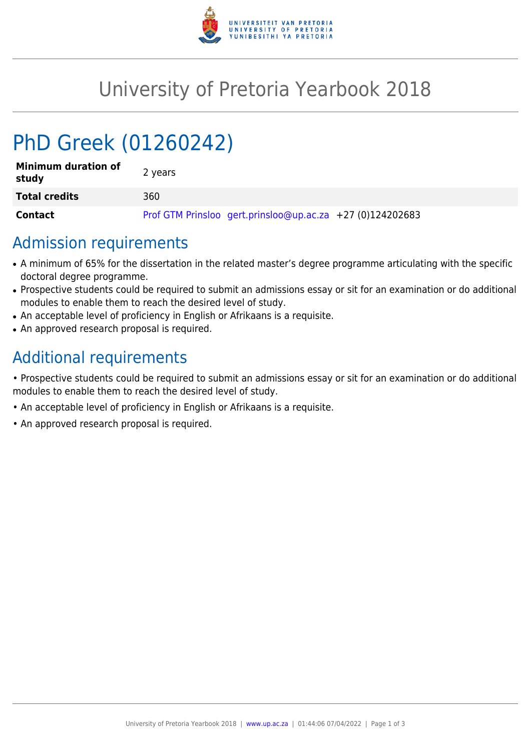

## University of Pretoria Yearbook 2018

# PhD Greek (01260242)

| <b>Minimum duration of</b><br>study | 2 years                                                   |
|-------------------------------------|-----------------------------------------------------------|
| <b>Total credits</b>                | 360                                                       |
| Contact                             | Prof GTM Prinsloo gert.prinsloo@up.ac.za +27 (0)124202683 |

## Admission requirements

- A minimum of 65% for the dissertation in the related master's degree programme articulating with the specific doctoral degree programme.
- Prospective students could be required to submit an admissions essay or sit for an examination or do additional modules to enable them to reach the desired level of study.
- An acceptable level of proficiency in English or Afrikaans is a requisite.
- An approved research proposal is required.

## Additional requirements

• Prospective students could be required to submit an admissions essay or sit for an examination or do additional modules to enable them to reach the desired level of study.

- An acceptable level of proficiency in English or Afrikaans is a requisite.
- An approved research proposal is required.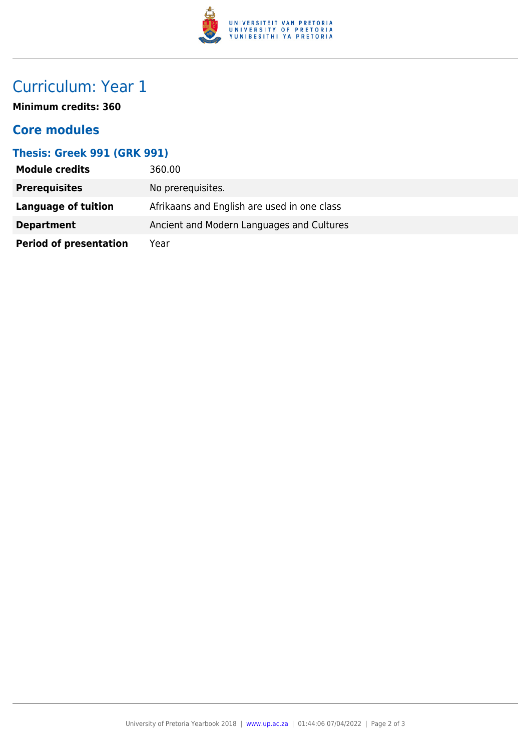

## Curriculum: Year 1

**Minimum credits: 360**

#### **Core modules**

#### **Thesis: Greek 991 (GRK 991)**

| <b>Module credits</b>         | 360.00                                      |
|-------------------------------|---------------------------------------------|
| <b>Prerequisites</b>          | No prerequisites.                           |
| Language of tuition           | Afrikaans and English are used in one class |
| <b>Department</b>             | Ancient and Modern Languages and Cultures   |
| <b>Period of presentation</b> | Year                                        |